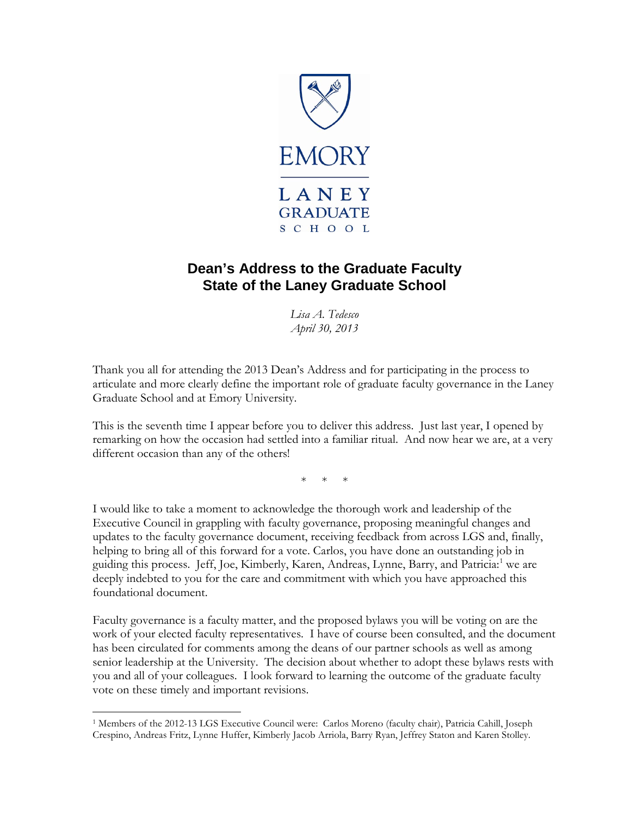

# **Dean's Address to the Graduate Faculty State of the Laney Graduate School**

*Lisa A. Tedesco April 30, 2013*

Thank you all for attending the 2013 Dean's Address and for participating in the process to articulate and more clearly define the important role of graduate faculty governance in the Laney Graduate School and at Emory University.

This is the seventh time I appear before you to deliver this address. Just last year, I opened by remarking on how the occasion had settled into a familiar ritual. And now hear we are, at a very different occasion than any of the others!

\* \* \*

I would like to take a moment to acknowledge the thorough work and leadership of the Executive Council in grappling with faculty governance, proposing meaningful changes and updates to the faculty governance document, receiving feedback from across LGS and, finally, helping to bring all of this forward for a vote. Carlos, you have done an outstanding job in guiding this process. Jeff, Joe, Kimberly, Karen, Andreas, Lynne, Barry, and Patricia:<sup>[1](#page-0-0)</sup> we are deeply indebted to you for the care and commitment with which you have approached this foundational document.

Faculty governance is a faculty matter, and the proposed bylaws you will be voting on are the work of your elected faculty representatives. I have of course been consulted, and the document has been circulated for comments among the deans of our partner schools as well as among senior leadership at the University. The decision about whether to adopt these bylaws rests with you and all of your colleagues. I look forward to learning the outcome of the graduate faculty vote on these timely and important revisions.

 $\overline{\phantom{a}}$ 

<span id="page-0-0"></span><sup>1</sup> Members of the 2012-13 LGS Executive Council were: Carlos Moreno (faculty chair), Patricia Cahill, Joseph Crespino, Andreas Fritz, Lynne Huffer, Kimberly Jacob Arriola, Barry Ryan, Jeffrey Staton and Karen Stolley.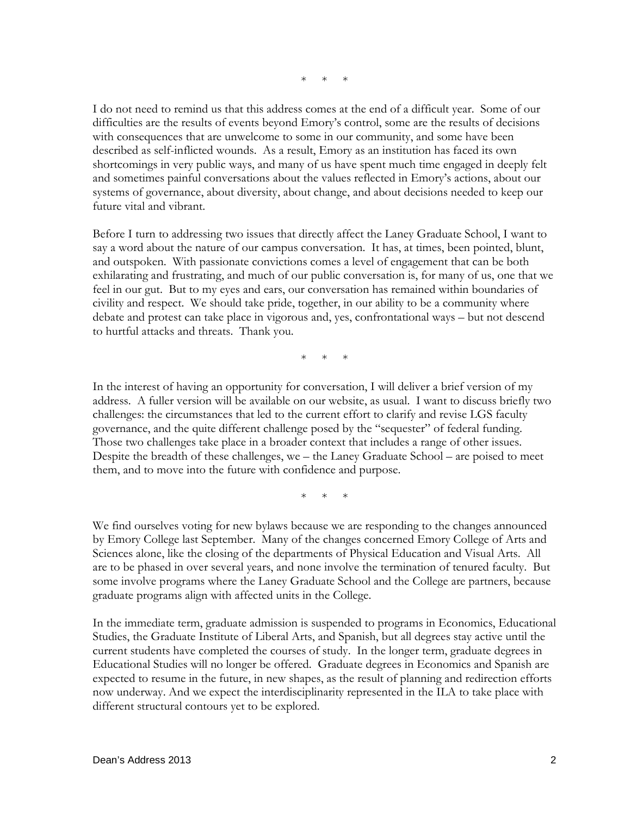\* \* \*

I do not need to remind us that this address comes at the end of a difficult year. Some of our difficulties are the results of events beyond Emory's control, some are the results of decisions with consequences that are unwelcome to some in our community, and some have been described as self-inflicted wounds. As a result, Emory as an institution has faced its own shortcomings in very public ways, and many of us have spent much time engaged in deeply felt and sometimes painful conversations about the values reflected in Emory's actions, about our systems of governance, about diversity, about change, and about decisions needed to keep our future vital and vibrant.

Before I turn to addressing two issues that directly affect the Laney Graduate School, I want to say a word about the nature of our campus conversation. It has, at times, been pointed, blunt, and outspoken. With passionate convictions comes a level of engagement that can be both exhilarating and frustrating, and much of our public conversation is, for many of us, one that we feel in our gut. But to my eyes and ears, our conversation has remained within boundaries of civility and respect. We should take pride, together, in our ability to be a community where debate and protest can take place in vigorous and, yes, confrontational ways – but not descend to hurtful attacks and threats. Thank you.

\* \* \*

In the interest of having an opportunity for conversation, I will deliver a brief version of my address. A fuller version will be available on our website, as usual. I want to discuss briefly two challenges: the circumstances that led to the current effort to clarify and revise LGS faculty governance, and the quite different challenge posed by the "sequester" of federal funding. Those two challenges take place in a broader context that includes a range of other issues. Despite the breadth of these challenges, we – the Laney Graduate School – are poised to meet them, and to move into the future with confidence and purpose.

\* \* \*

We find ourselves voting for new bylaws because we are responding to the changes announced by Emory College last September. Many of the changes concerned Emory College of Arts and Sciences alone, like the closing of the departments of Physical Education and Visual Arts. All are to be phased in over several years, and none involve the termination of tenured faculty. But some involve programs where the Laney Graduate School and the College are partners, because graduate programs align with affected units in the College.

In the immediate term, graduate admission is suspended to programs in Economics, Educational Studies, the Graduate Institute of Liberal Arts, and Spanish, but all degrees stay active until the current students have completed the courses of study. In the longer term, graduate degrees in Educational Studies will no longer be offered. Graduate degrees in Economics and Spanish are expected to resume in the future, in new shapes, as the result of planning and redirection efforts now underway. And we expect the interdisciplinarity represented in the ILA to take place with different structural contours yet to be explored.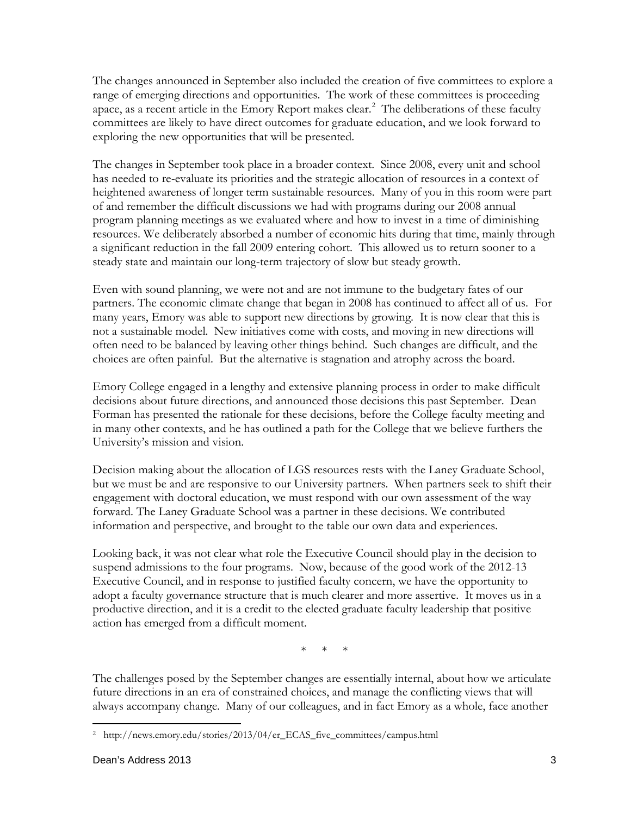The changes announced in September also included the creation of five committees to explore a range of emerging directions and opportunities. The work of these committees is proceeding apace, as a recent article in the Emory Report makes clear.<sup>[2](#page-2-0)</sup> The deliberations of these faculty committees are likely to have direct outcomes for graduate education, and we look forward to exploring the new opportunities that will be presented.

The changes in September took place in a broader context. Since 2008, every unit and school has needed to re-evaluate its priorities and the strategic allocation of resources in a context of heightened awareness of longer term sustainable resources. Many of you in this room were part of and remember the difficult discussions we had with programs during our 2008 annual program planning meetings as we evaluated where and how to invest in a time of diminishing resources. We deliberately absorbed a number of economic hits during that time, mainly through a significant reduction in the fall 2009 entering cohort. This allowed us to return sooner to a steady state and maintain our long-term trajectory of slow but steady growth.

Even with sound planning, we were not and are not immune to the budgetary fates of our partners. The economic climate change that began in 2008 has continued to affect all of us. For many years, Emory was able to support new directions by growing. It is now clear that this is not a sustainable model. New initiatives come with costs, and moving in new directions will often need to be balanced by leaving other things behind. Such changes are difficult, and the choices are often painful. But the alternative is stagnation and atrophy across the board.

Emory College engaged in a lengthy and extensive planning process in order to make difficult decisions about future directions, and announced those decisions this past September. Dean Forman has presented the rationale for these decisions, before the College faculty meeting and in many other contexts, and he has outlined a path for the College that we believe furthers the University's mission and vision.

Decision making about the allocation of LGS resources rests with the Laney Graduate School, but we must be and are responsive to our University partners. When partners seek to shift their engagement with doctoral education, we must respond with our own assessment of the way forward. The Laney Graduate School was a partner in these decisions. We contributed information and perspective, and brought to the table our own data and experiences.

Looking back, it was not clear what role the Executive Council should play in the decision to suspend admissions to the four programs. Now, because of the good work of the 2012-13 Executive Council, and in response to justified faculty concern, we have the opportunity to adopt a faculty governance structure that is much clearer and more assertive. It moves us in a productive direction, and it is a credit to the elected graduate faculty leadership that positive action has emerged from a difficult moment.

\* \* \*

The challenges posed by the September changes are essentially internal, about how we articulate future directions in an era of constrained choices, and manage the conflicting views that will always accompany change. Many of our colleagues, and in fact Emory as a whole, face another

<span id="page-2-0"></span> $\overline{\phantom{a}}$ <sup>2</sup> http://news.emory.edu/stories/2013/04/er\_ECAS\_five\_committees/campus.html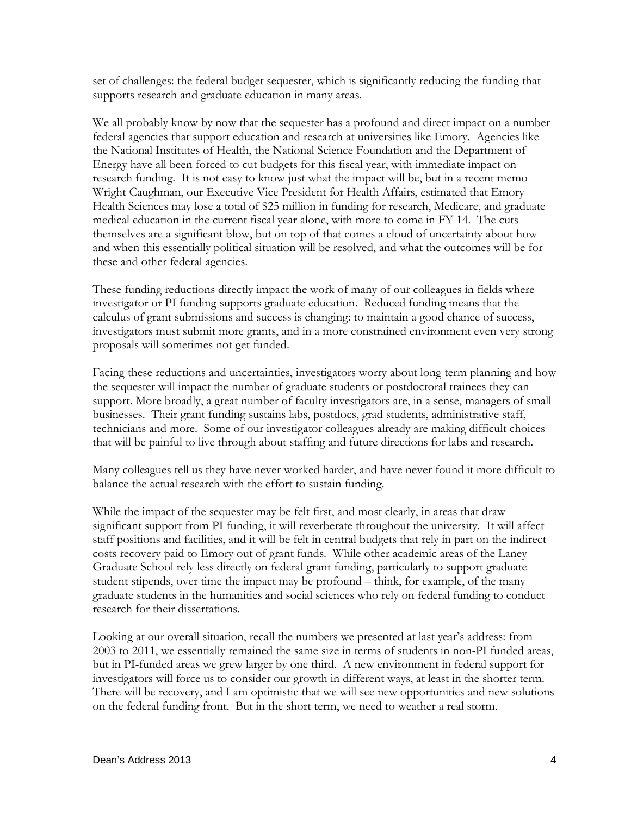set of challenges: the federal budget sequester, which is significantly reducing the funding that supports research and graduate education in many areas.

We all probably know by now that the sequester has a profound and direct impact on a number federal agencies that support education and research at universities like Emory. Agencies like the National Institutes of Health, the National Science Foundation and the Department of Energy have all been forced to cut budgets for this fiscal year, with immediate impact on research funding. It is not easy to know just what the impact will be, but in a recent memo Wright Caughman, our Executive Vice President for Health Affairs, estimated that Emory Health Sciences may lose a total of \$25 million in funding for research, Medicare, and graduate medical education in the current fiscal year alone, with more to come in FY 14. The cuts themselves are a significant blow, but on top of that comes a cloud of uncertainty about how and when this essentially political situation will be resolved, and what the outcomes will be for these and other federal agencies.

These funding reductions directly impact the work of many of our colleagues in fields where investigator or PI funding supports graduate education. Reduced funding means that the calculus of grant submissions and success is changing: to maintain a good chance of success, investigators must submit more grants, and in a more constrained environment even very strong proposals will sometimes not get funded.

Facing these reductions and uncertainties, investigators worry about long term planning and how the sequester will impact the number of graduate students or postdoctoral trainees they can support. More broadly, a great number of faculty investigators are, in a sense, managers of small businesses. Their grant funding sustains labs, postdocs, grad students, administrative staff, technicians and more. Some of our investigator colleagues already are making difficult choices that will be painful to live through about staffing and future directions for labs and research.

Many colleagues tell us they have never worked harder, and have never found it more difficult to balance the actual research with the effort to sustain funding.

While the impact of the sequester may be felt first, and most clearly, in areas that draw significant support from PI funding, it will reverberate throughout the university. It will affect staff positions and facilities, and it will be felt in central budgets that rely in part on the indirect costs recovery paid to Emory out of grant funds. While other academic areas of the Laney Graduate School rely less directly on federal grant funding, particularly to support graduate student stipends, over time the impact may be profound – think, for example, of the many graduate students in the humanities and social sciences who rely on federal funding to conduct research for their dissertations.

Looking at our overall situation, recall the numbers we presented at last year's address: from 2003 to 2011, we essentially remained the same size in terms of students in non-PI funded areas, but in PI-funded areas we grew larger by one third. A new environment in federal support for investigators will force us to consider our growth in different ways, at least in the shorter term. There will be recovery, and I am optimistic that we will see new opportunities and new solutions on the federal funding front. But in the short term, we need to weather a real storm.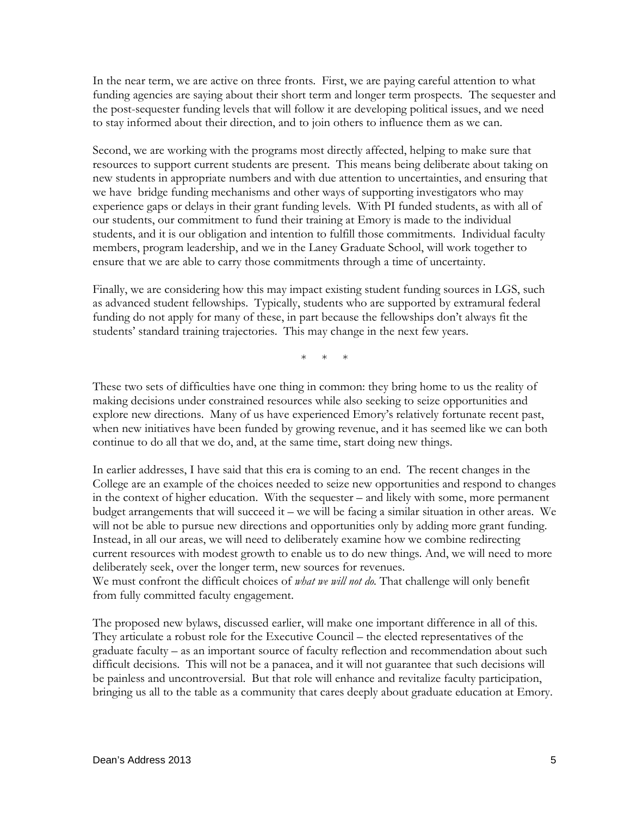In the near term, we are active on three fronts. First, we are paying careful attention to what funding agencies are saying about their short term and longer term prospects. The sequester and the post-sequester funding levels that will follow it are developing political issues, and we need to stay informed about their direction, and to join others to influence them as we can.

Second, we are working with the programs most directly affected, helping to make sure that resources to support current students are present. This means being deliberate about taking on new students in appropriate numbers and with due attention to uncertainties, and ensuring that we have bridge funding mechanisms and other ways of supporting investigators who may experience gaps or delays in their grant funding levels. With PI funded students, as with all of our students, our commitment to fund their training at Emory is made to the individual students, and it is our obligation and intention to fulfill those commitments. Individual faculty members, program leadership, and we in the Laney Graduate School, will work together to ensure that we are able to carry those commitments through a time of uncertainty.

Finally, we are considering how this may impact existing student funding sources in LGS, such as advanced student fellowships. Typically, students who are supported by extramural federal funding do not apply for many of these, in part because the fellowships don't always fit the students' standard training trajectories. This may change in the next few years.

 $*$  \*

These two sets of difficulties have one thing in common: they bring home to us the reality of making decisions under constrained resources while also seeking to seize opportunities and explore new directions. Many of us have experienced Emory's relatively fortunate recent past, when new initiatives have been funded by growing revenue, and it has seemed like we can both continue to do all that we do, and, at the same time, start doing new things.

In earlier addresses, I have said that this era is coming to an end. The recent changes in the College are an example of the choices needed to seize new opportunities and respond to changes in the context of higher education. With the sequester – and likely with some, more permanent budget arrangements that will succeed it – we will be facing a similar situation in other areas. We will not be able to pursue new directions and opportunities only by adding more grant funding. Instead, in all our areas, we will need to deliberately examine how we combine redirecting current resources with modest growth to enable us to do new things. And, we will need to more deliberately seek, over the longer term, new sources for revenues.

We must confront the difficult choices of *what we will not do.* That challenge will only benefit from fully committed faculty engagement.

The proposed new bylaws, discussed earlier, will make one important difference in all of this. They articulate a robust role for the Executive Council – the elected representatives of the graduate faculty – as an important source of faculty reflection and recommendation about such difficult decisions. This will not be a panacea, and it will not guarantee that such decisions will be painless and uncontroversial. But that role will enhance and revitalize faculty participation, bringing us all to the table as a community that cares deeply about graduate education at Emory.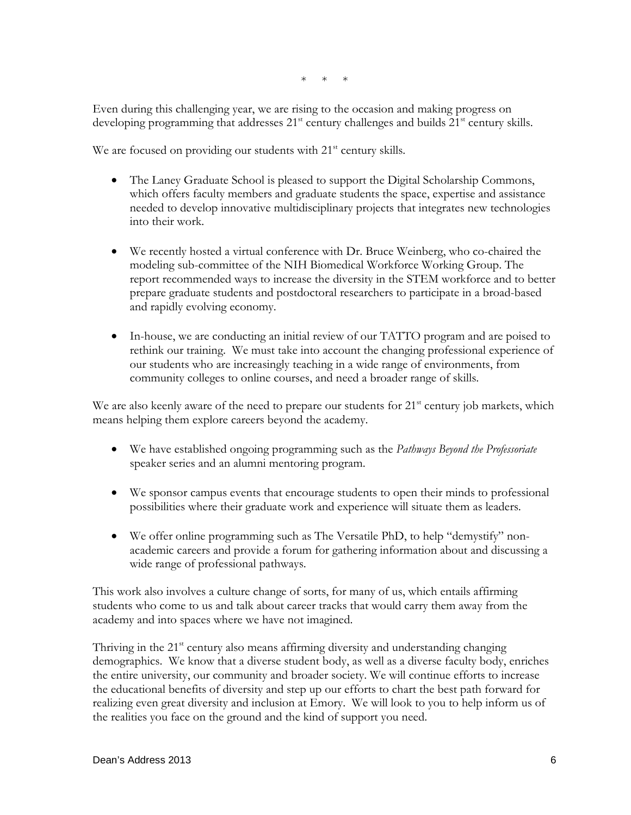\* \* \*

Even during this challenging year, we are rising to the occasion and making progress on developing programming that addresses  $21<sup>st</sup>$  century challenges and builds  $21<sup>st</sup>$  century skills.

We are focused on providing our students with 21<sup>st</sup> century skills.

- The Laney Graduate School is pleased to support the Digital Scholarship Commons, which offers faculty members and graduate students the space, expertise and assistance needed to develop innovative multidisciplinary projects that integrates new technologies into their work.
- We recently hosted a virtual conference with Dr. Bruce Weinberg, who co-chaired the modeling sub-committee of the NIH Biomedical Workforce Working Group. The report recommended ways to increase the diversity in the STEM workforce and to better prepare graduate students and postdoctoral researchers to participate in a broad-based and rapidly evolving economy.
- In-house, we are conducting an initial review of our TATTO program and are poised to rethink our training. We must take into account the changing professional experience of our students who are increasingly teaching in a wide range of environments, from community colleges to online courses, and need a broader range of skills.

We are also keenly aware of the need to prepare our students for  $21<sup>st</sup>$  century job markets, which means helping them explore careers beyond the academy.

- We have established ongoing programming such as the *Pathways Beyond the Professoriate* speaker series and an alumni mentoring program.
- We sponsor campus events that encourage students to open their minds to professional possibilities where their graduate work and experience will situate them as leaders.
- We offer online programming such as The Versatile PhD, to help "demystify" nonacademic careers and provide a forum for gathering information about and discussing a wide range of professional pathways.

This work also involves a culture change of sorts, for many of us, which entails affirming students who come to us and talk about career tracks that would carry them away from the academy and into spaces where we have not imagined.

Thriving in the  $21<sup>st</sup>$  century also means affirming diversity and understanding changing demographics. We know that a diverse student body, as well as a diverse faculty body, enriches the entire university, our community and broader society. We will continue efforts to increase the educational benefits of diversity and step up our efforts to chart the best path forward for realizing even great diversity and inclusion at Emory. We will look to you to help inform us of the realities you face on the ground and the kind of support you need.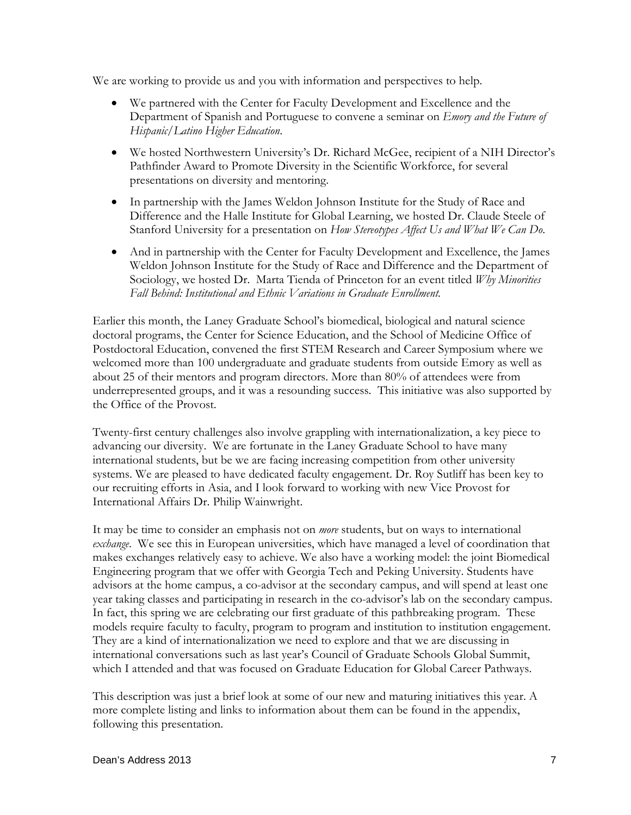We are working to provide us and you with information and perspectives to help.

- We partnered with the Center for Faculty Development and Excellence and the Department of Spanish and Portuguese to convene a seminar on *Emory and the Future of Hispanic/Latino Higher Education*.
- We hosted Northwestern University's Dr. Richard McGee, recipient of a NIH Director's Pathfinder Award to Promote Diversity in the Scientific Workforce, for several presentations on diversity and mentoring.
- In partnership with the James Weldon Johnson Institute for the Study of Race and Difference and the Halle Institute for Global Learning, we hosted Dr. Claude Steele of Stanford University for a presentation on *How Stereotypes Affect Us and What We Can Do*.
- And in partnership with the Center for Faculty Development and Excellence, the James Weldon Johnson Institute for the Study of Race and Difference and the Department of Sociology, we hosted Dr. Marta Tienda of Princeton for an event titled *Why Minorities Fall Behind: Institutional and Ethnic Variations in Graduate Enrollment.*

Earlier this month, the Laney Graduate School's biomedical, biological and natural science doctoral programs, the Center for Science Education, and the School of Medicine Office of Postdoctoral Education, convened the first STEM Research and Career Symposium where we welcomed more than 100 undergraduate and graduate students from outside Emory as well as about 25 of their mentors and program directors. More than 80% of attendees were from underrepresented groups, and it was a resounding success. This initiative was also supported by the Office of the Provost.

Twenty-first century challenges also involve grappling with internationalization, a key piece to advancing our diversity. We are fortunate in the Laney Graduate School to have many international students, but be we are facing increasing competition from other university systems. We are pleased to have dedicated faculty engagement. Dr. Roy Sutliff has been key to our recruiting efforts in Asia, and I look forward to working with new Vice Provost for International Affairs Dr. Philip Wainwright.

It may be time to consider an emphasis not on *more* students, but on ways to international *exchange*. We see this in European universities, which have managed a level of coordination that makes exchanges relatively easy to achieve. We also have a working model: the joint Biomedical Engineering program that we offer with Georgia Tech and Peking University. Students have advisors at the home campus, a co-advisor at the secondary campus, and will spend at least one year taking classes and participating in research in the co-advisor's lab on the secondary campus. In fact, this spring we are celebrating our first graduate of this pathbreaking program. These models require faculty to faculty, program to program and institution to institution engagement. They are a kind of internationalization we need to explore and that we are discussing in international conversations such as last year's Council of Graduate Schools Global Summit, which I attended and that was focused on Graduate Education for Global Career Pathways.

This description was just a brief look at some of our new and maturing initiatives this year. A more complete listing and links to information about them can be found in the appendix, following this presentation.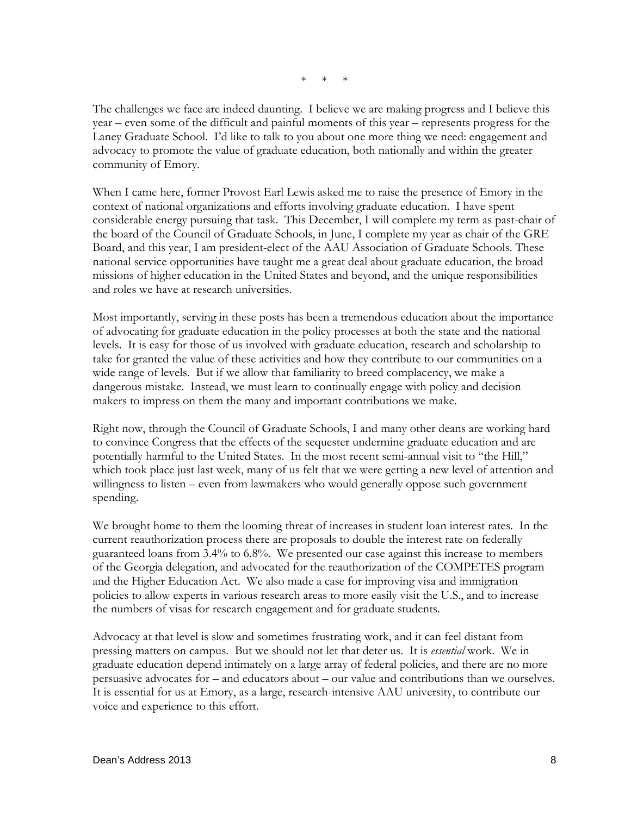$*$  \*

The challenges we face are indeed daunting. I believe we are making progress and I believe this year – even some of the difficult and painful moments of this year – represents progress for the Laney Graduate School. I'd like to talk to you about one more thing we need: engagement and advocacy to promote the value of graduate education, both nationally and within the greater community of Emory.

When I came here, former Provost Earl Lewis asked me to raise the presence of Emory in the context of national organizations and efforts involving graduate education. I have spent considerable energy pursuing that task. This December, I will complete my term as past-chair of the board of the Council of Graduate Schools, in June, I complete my year as chair of the GRE Board, and this year, I am president-elect of the AAU Association of Graduate Schools. These national service opportunities have taught me a great deal about graduate education, the broad missions of higher education in the United States and beyond, and the unique responsibilities and roles we have at research universities.

Most importantly, serving in these posts has been a tremendous education about the importance of advocating for graduate education in the policy processes at both the state and the national levels. It is easy for those of us involved with graduate education, research and scholarship to take for granted the value of these activities and how they contribute to our communities on a wide range of levels. But if we allow that familiarity to breed complacency, we make a dangerous mistake. Instead, we must learn to continually engage with policy and decision makers to impress on them the many and important contributions we make.

Right now, through the Council of Graduate Schools, I and many other deans are working hard to convince Congress that the effects of the sequester undermine graduate education and are potentially harmful to the United States. In the most recent semi-annual visit to "the Hill," which took place just last week, many of us felt that we were getting a new level of attention and willingness to listen – even from lawmakers who would generally oppose such government spending.

We brought home to them the looming threat of increases in student loan interest rates. In the current reauthorization process there are proposals to double the interest rate on federally guaranteed loans from 3.4% to 6.8%. We presented our case against this increase to members of the Georgia delegation, and advocated for the reauthorization of the COMPETES program and the Higher Education Act. We also made a case for improving visa and immigration policies to allow experts in various research areas to more easily visit the U.S., and to increase the numbers of visas for research engagement and for graduate students.

Advocacy at that level is slow and sometimes frustrating work, and it can feel distant from pressing matters on campus. But we should not let that deter us. It is *essential* work. We in graduate education depend intimately on a large array of federal policies, and there are no more persuasive advocates for – and educators about – our value and contributions than we ourselves. It is essential for us at Emory, as a large, research-intensive AAU university, to contribute our voice and experience to this effort.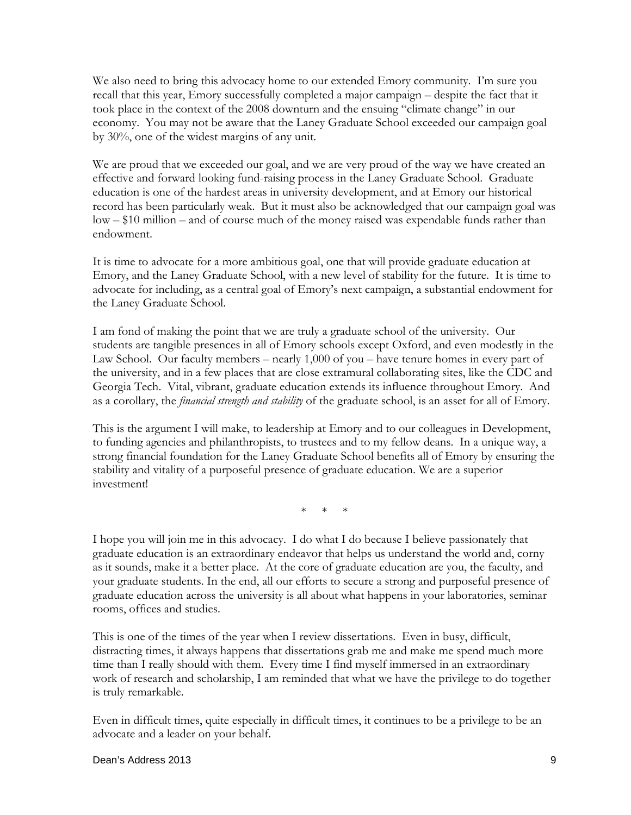We also need to bring this advocacy home to our extended Emory community. I'm sure you recall that this year, Emory successfully completed a major campaign – despite the fact that it took place in the context of the 2008 downturn and the ensuing "climate change" in our economy. You may not be aware that the Laney Graduate School exceeded our campaign goal by 30%, one of the widest margins of any unit.

We are proud that we exceeded our goal, and we are very proud of the way we have created an effective and forward looking fund-raising process in the Laney Graduate School. Graduate education is one of the hardest areas in university development, and at Emory our historical record has been particularly weak. But it must also be acknowledged that our campaign goal was low – \$10 million – and of course much of the money raised was expendable funds rather than endowment.

It is time to advocate for a more ambitious goal, one that will provide graduate education at Emory, and the Laney Graduate School, with a new level of stability for the future. It is time to advocate for including, as a central goal of Emory's next campaign, a substantial endowment for the Laney Graduate School.

I am fond of making the point that we are truly a graduate school of the university. Our students are tangible presences in all of Emory schools except Oxford, and even modestly in the Law School. Our faculty members – nearly 1,000 of you – have tenure homes in every part of the university, and in a few places that are close extramural collaborating sites, like the CDC and Georgia Tech. Vital, vibrant, graduate education extends its influence throughout Emory. And as a corollary, the *financial strength and stability* of the graduate school, is an asset for all of Emory.

This is the argument I will make, to leadership at Emory and to our colleagues in Development, to funding agencies and philanthropists, to trustees and to my fellow deans. In a unique way, a strong financial foundation for the Laney Graduate School benefits all of Emory by ensuring the stability and vitality of a purposeful presence of graduate education. We are a superior investment!

\* \* \*

I hope you will join me in this advocacy. I do what I do because I believe passionately that graduate education is an extraordinary endeavor that helps us understand the world and, corny as it sounds, make it a better place. At the core of graduate education are you, the faculty, and your graduate students. In the end, all our efforts to secure a strong and purposeful presence of graduate education across the university is all about what happens in your laboratories, seminar rooms, offices and studies.

This is one of the times of the year when I review dissertations. Even in busy, difficult, distracting times, it always happens that dissertations grab me and make me spend much more time than I really should with them. Every time I find myself immersed in an extraordinary work of research and scholarship, I am reminded that what we have the privilege to do together is truly remarkable.

Even in difficult times, quite especially in difficult times, it continues to be a privilege to be an advocate and a leader on your behalf.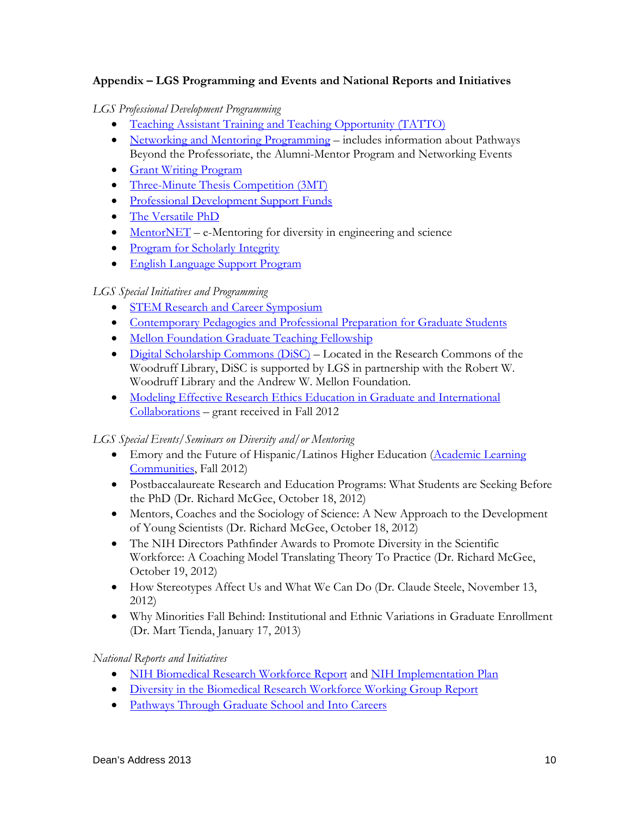## **Appendix – LGS Programming and Events and National Reports and Initiatives**

*LGS Professional Development Programming*

- [Teaching Assistant Training and Teaching Opportunity \(TATTO\)](http://gs.emory.edu/professional_development/tatto.html)
- [Networking and Mentoring Programming](http://gs.emory.edu/professional_development/resources/mentoring.html) includes information about Pathways Beyond the Professoriate, the Alumni-Mentor Program and Networking Events
- [Grant Writing Program](http://www.gs.emory.edu/sites/grantwriting/?entity_id=197)
- [Three-Minute Thesis Competition \(3MT\)](http://gs.emory.edu/about/special/3MT%20.html)
- [Professional Development Support Funds](http://gs.emory.edu/professional_development/pds_funds/index.html)
- [The Versatile PhD](http://gs.emory.edu/professional_development/resources/versatile.html)
- [MentorNET](http://www.mentornet.net/) e-Mentoring for diversity in engineering and science
- [Program for Scholarly Integrity](http://gs.emory.edu/professional_development/scholarly_integrity/index.html)
- [English Language Support Program](http://gs.emory.edu/professional_development/ELSP.html)

### *LGS Special Initiatives and Programming*

- [STEM Research and Career Symposium](http://gs.emory.edu/about/special/stem_rc_symposium.html)
- [Contemporary Pedagogies and Professional Preparation for Graduate Students](http://gs.emory.edu/about/special/contemporary_pedagogies.html)
- [Mellon Foundation Graduate Teaching Fellowship](http://www.gs.emory.edu/sites/mellongtf/)
- Digital Scholarship Commons  $(DiSC)$  Located in the Research Commons of the Woodruff Library, DiSC is supported by LGS in partnership with the Robert W. Woodruff Library and the Andrew W. Mellon Foundation.
- [Modeling Effective Research Ethics Education in Graduate and International](http://www.cgsnet.org/modeling-effective-research-ethics-education-graduate-international-collaborations-0)  [Collaborations](http://www.cgsnet.org/modeling-effective-research-ethics-education-graduate-international-collaborations-0) – grant received in Fall 2012

### *LGS Special Events/Seminars on Diversity and/or Mentoring*

- Emory and the Future of Hispanic/Latinos Higher Education (Academic Learning [Communities,](http://cfde.emory.edu/faculty_life/learningcommunities.html) Fall 2012)
- Postbaccalaureate Research and Education Programs: What Students are Seeking Before the PhD (Dr. Richard McGee, October 18, 2012)
- Mentors, Coaches and the Sociology of Science: A New Approach to the Development of Young Scientists (Dr. Richard McGee, October 18, 2012)
- The NIH Directors Pathfinder Awards to Promote Diversity in the Scientific Workforce: A Coaching Model Translating Theory To Practice (Dr. Richard McGee, October 19, 2012)
- How Stereotypes Affect Us and What We Can Do (Dr. Claude Steele, November 13, 2012)
- Why Minorities Fall Behind: Institutional and Ethnic Variations in Graduate Enrollment (Dr. Mart Tienda, January 17, 2013)

### *National Reports and Initiatives*

- [NIH Biomedical Research Workforce Report](http://acd.od.nih.gov/bwf.htm) and [NIH Implementation Plan](http://www.nih.gov/news/health/dec2012/od-07.htm)
- [Diversity in the Biomedical Research Workforce Working Group Report](http://acd.od.nih.gov/dbr.htm)
- [Pathways Through Graduate School and Into Careers](http://pathwaysreport.org/)